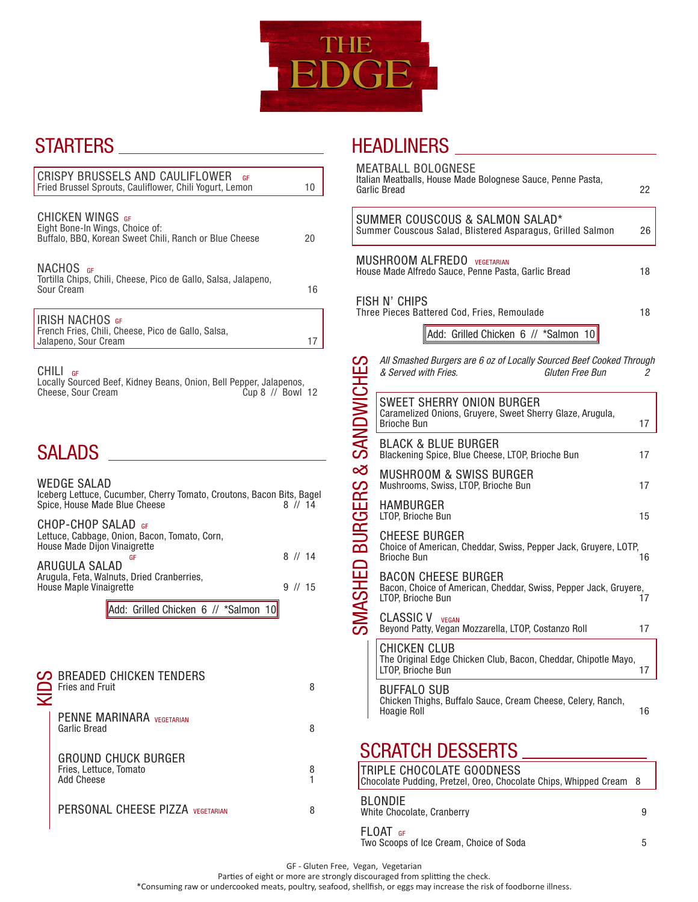

## STARTERS

|                                                                                                                                    | CRISPY BRUSSELS AND CAULIFLOWER<br>GF<br>Fried Brussel Sprouts, Cauliflower, Chili Yogurt, Lemon                                                    |                        | 10     |  |
|------------------------------------------------------------------------------------------------------------------------------------|-----------------------------------------------------------------------------------------------------------------------------------------------------|------------------------|--------|--|
|                                                                                                                                    | CHICKEN WINGS GF<br>Eight Bone-In Wings, Choice of:<br>Buffalo, BBQ, Korean Sweet Chili, Ranch or Blue Cheese                                       |                        | 20     |  |
|                                                                                                                                    | NACHOS <sub>GF</sub><br>Tortilla Chips, Chili, Cheese, Pico de Gallo, Salsa, Jalapeno,<br>Sour Cream                                                |                        | 16     |  |
|                                                                                                                                    | <b>IRISH NACHOS GF</b><br>French Fries, Chili, Cheese, Pico de Gallo, Salsa,<br>Jalapeno, Sour Cream                                                |                        | 17     |  |
|                                                                                                                                    | <b>CHILI</b><br>GF<br>Locally Sourced Beef, Kidney Beans, Onion, Bell Pepper, Jalapenos,<br>Cheese, Sour Cream<br>Cup 8 // Bowl 12<br><b>SALADS</b> |                        |        |  |
|                                                                                                                                    |                                                                                                                                                     |                        |        |  |
| WEDGE SALAD<br>Iceberg Lettuce, Cucumber, Cherry Tomato, Croutons, Bacon Bits, Bagel<br>Spice, House Made Blue Cheese<br>$8$ // 14 |                                                                                                                                                     |                        |        |  |
|                                                                                                                                    | CHOP-CHOP SALAD GF<br>Lettuce, Cabbage, Onion, Bacon, Tomato, Corn,<br>House Made Dijon Vinaigrette                                                 |                        |        |  |
|                                                                                                                                    | GF<br><b>ARUGULA SALAD</b><br>Arugula, Feta, Walnuts, Dried Cranberries,<br>House Maple Vinaigrette                                                 | $8$ // 14<br>$9$ // 15 |        |  |
|                                                                                                                                    | Add: Grilled Chicken 6 // *Salmon 10                                                                                                                |                        |        |  |
|                                                                                                                                    |                                                                                                                                                     |                        |        |  |
|                                                                                                                                    | <b>BREADED CHICKEN TENDERS</b><br><b>Fries and Fruit</b>                                                                                            |                        | 8      |  |
|                                                                                                                                    | PENNE MARINARA VEGETARIAN<br><b>Garlic Bread</b>                                                                                                    |                        | 8      |  |
|                                                                                                                                    | <b>GROUND CHUCK BURGER</b><br>Fries, Lettuce, Tomato<br><b>Add Cheese</b>                                                                           |                        | 8<br>1 |  |
|                                                                                                                                    | PERSONAL CHEESE PIZZA VEGETARIAN                                                                                                                    |                        | 8      |  |
|                                                                                                                                    |                                                                                                                                                     |                        |        |  |

### HEADLINERS

| <b>MEATBALL BOLOGNESE</b><br>Italian Meatballs, House Made Bolognese Sauce, Penne Pasta,<br>Garlic Bread<br>22 |                                                                                                                |    |  |  |  |
|----------------------------------------------------------------------------------------------------------------|----------------------------------------------------------------------------------------------------------------|----|--|--|--|
|                                                                                                                | SUMMER COUSCOUS & SALMON SALAD*<br>Summer Couscous Salad, Blistered Asparagus, Grilled Salmon                  | 26 |  |  |  |
| <b>MUSHROOM ALFREDO</b> VEGETARIAN<br>House Made Alfredo Sauce, Penne Pasta, Garlic Bread<br>18                |                                                                                                                |    |  |  |  |
| FISH N' CHIPS<br>Three Pieces Battered Cod, Fries, Remoulade<br>18                                             |                                                                                                                |    |  |  |  |
|                                                                                                                | Add: Grilled Chicken 6 // *Salmon 10                                                                           |    |  |  |  |
|                                                                                                                | All Smashed Burgers are 6 oz of Locally Sourced Beef Cooked Through<br>& Served with Fries.<br>Gluten Free Bun | 2  |  |  |  |
| ASHED BURGERS & SANDWICH                                                                                       | SWEET SHERRY ONION BURGER<br>Caramelized Onions, Gruyere, Sweet Sherry Glaze, Arugula,<br><b>Brioche Bun</b>   | 17 |  |  |  |
|                                                                                                                | <b>BLACK &amp; BLUE BURGER</b><br>Blackening Spice, Blue Cheese, LTOP, Brioche Bun                             | 17 |  |  |  |
|                                                                                                                | <b>MUSHROOM &amp; SWISS BURGER</b><br>Mushrooms, Swiss, LTOP, Brioche Bun                                      | 17 |  |  |  |
|                                                                                                                | HAMBURGER<br>LTOP, Brioche Bun                                                                                 | 15 |  |  |  |
|                                                                                                                | CHEESE BURGER<br>Choice of American, Cheddar, Swiss, Pepper Jack, Gruyere, LOTP,<br><b>Brioche Bun</b>         | 16 |  |  |  |
|                                                                                                                | BACON CHEESE BURGER<br>Bacon, Choice of American, Cheddar, Swiss, Pepper Jack, Gruyere,<br>LTOP, Brioche Bun   | 17 |  |  |  |
|                                                                                                                | <b>CLASSIC V VEGAN</b><br>Beyond Patty, Vegan Mozzarella, LTOP, Costanzo Roll                                  | 17 |  |  |  |
|                                                                                                                | CHICKEN CLUB<br>The Original Edge Chicken Club, Bacon, Cheddar, Chipotle Mayo,<br>LI OP, Brioche Bun           | 17 |  |  |  |
|                                                                                                                | BUFFALO SUB<br>Chicken Thighs, Buffalo Sauce, Cream Cheese, Celery, Ranch,<br><b>Hoagie Roll</b>               | 16 |  |  |  |
|                                                                                                                | <b>SCRATCH DESSERTS</b>                                                                                        |    |  |  |  |
|                                                                                                                | TRIPLE CHOCOLATE GOODNESS<br>Chocolate Pudding, Pretzel, Oreo, Chocolate Chips, Whipped Cream                  | 8  |  |  |  |
|                                                                                                                | BLONDIE<br>White Chocolate, Cranberry                                                                          | 9  |  |  |  |
|                                                                                                                | $FLOAT$ GF<br>Two Scoops of Ice Cream, Choice of Soda                                                          | 5  |  |  |  |

GF - Gluten Free, Vegan, Vegetarian

Parties of eight or more are strongly discouraged from splitting the check.

\*Consuming raw or undercooked meats, poultry, seafood, shellfish, or eggs may increase the risk of foodborne illness.